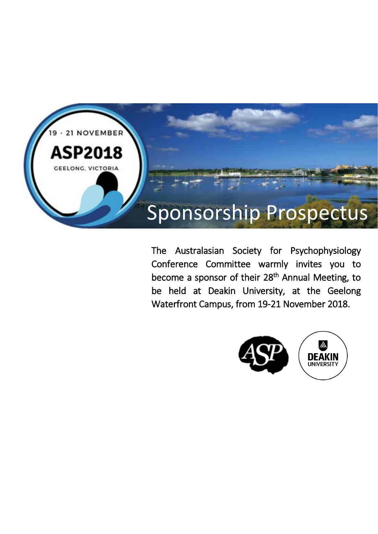

The Australasian Society for Psychophysiology Conference Committee warmly invites you to become a sponsor of their 28<sup>th</sup> Annual Meeting, to be held at Deakin University, at the Geelong Waterfront Campus, from 19-21 November 2018.

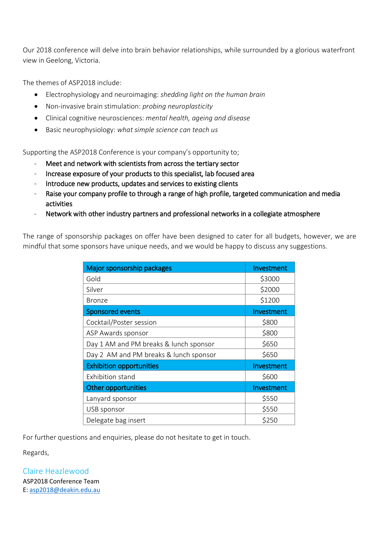Our 2018 conference will delve into brain behavior relationships, while surrounded by a glorious waterfront view in Geelong, Victoria.

The themes of ASP2018 include:

- Electrophysiology and neuroimaging: *shedding light on the human brain*
- Non-invasive brain stimulation: *probing neuroplasticity*
- Clinical cognitive neurosciences: *mental health, ageing and disease*
- Basic neurophysiology: *what simple science can teach us*

Supporting the ASP2018 Conference is your company's opportunity to;

- Meet and network with scientists from across the tertiary sector
- Increase exposure of your products to this specialist, lab focused area
- Introduce new products, updates and services to existing clients
- Raise your company profile to through a range of high profile, targeted communication and media activities
- Network with other industry partners and professional networks in a collegiate atmosphere

The range of sponsorship packages on offer have been designed to cater for all budgets, however, we are mindful that some sponsors have unique needs, and we would be happy to discuss any suggestions.

| Major sponsorship packages             | Investment |
|----------------------------------------|------------|
| Gold                                   | \$3000     |
| Silver                                 | \$2000     |
| <b>Bronze</b>                          | \$1200     |
| <b>Sponsored events</b>                | Investment |
| Cocktail/Poster session                | \$800      |
| ASP Awards sponsor                     | \$800      |
| Day 1 AM and PM breaks & lunch sponsor | \$650      |
| Day 2 AM and PM breaks & lunch sponsor | \$650      |
| <b>Exhibition opportunities</b>        | Investment |
| <b>Exhibition stand</b>                | \$600      |
| Other opportunities                    | Investment |
| Lanyard sponsor                        | \$550      |
| USB sponsor                            | \$550      |
| Delegate bag insert                    | \$250      |

For further questions and enquiries, please do not hesitate to get in touch.

Regards,

Claire Heazlewood ASP2018 Conference Team E: [asp2018@deakin.edu.au](mailto:asp2018@deakin.edu.au)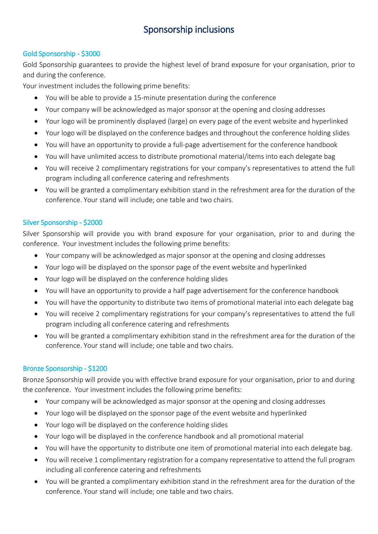# Sponsorship inclusions

# Gold Sponsorship - \$3000

Gold Sponsorship guarantees to provide the highest level of brand exposure for your organisation, prior to and during the conference.

Your investment includes the following prime benefits:

- You will be able to provide a 15-minute presentation during the conference
- Your company will be acknowledged as major sponsor at the opening and closing addresses
- Your logo will be prominently displayed (large) on every page of the event website and hyperlinked
- Your logo will be displayed on the conference badges and throughout the conference holding slides
- You will have an opportunity to provide a full-page advertisement for the conference handbook
- You will have unlimited access to distribute promotional material/items into each delegate bag
- You will receive 2 complimentary registrations for your company's representatives to attend the full program including all conference catering and refreshments
- You will be granted a complimentary exhibition stand in the refreshment area for the duration of the conference. Your stand will include; one table and two chairs.

# Silver Sponsorship - \$2000

Silver Sponsorship will provide you with brand exposure for your organisation, prior to and during the conference. Your investment includes the following prime benefits:

- Your company will be acknowledged as major sponsor at the opening and closing addresses
- Your logo will be displayed on the sponsor page of the event website and hyperlinked
- Your logo will be displayed on the conference holding slides
- You will have an opportunity to provide a half page advertisement for the conference handbook
- You will have the opportunity to distribute two items of promotional material into each delegate bag
- You will receive 2 complimentary registrations for your company's representatives to attend the full program including all conference catering and refreshments
- You will be granted a complimentary exhibition stand in the refreshment area for the duration of the conference. Your stand will include; one table and two chairs.

## Bronze Sponsorship - \$1200

Bronze Sponsorship will provide you with effective brand exposure for your organisation, prior to and during the conference. Your investment includes the following prime benefits:

- Your company will be acknowledged as major sponsor at the opening and closing addresses
- Your logo will be displayed on the sponsor page of the event website and hyperlinked
- Your logo will be displayed on the conference holding slides
- Your logo will be displayed in the conference handbook and all promotional material
- You will have the opportunity to distribute one item of promotional material into each delegate bag.
- You will receive 1 complimentary registration for a company representative to attend the full program including all conference catering and refreshments
- You will be granted a complimentary exhibition stand in the refreshment area for the duration of the conference. Your stand will include; one table and two chairs.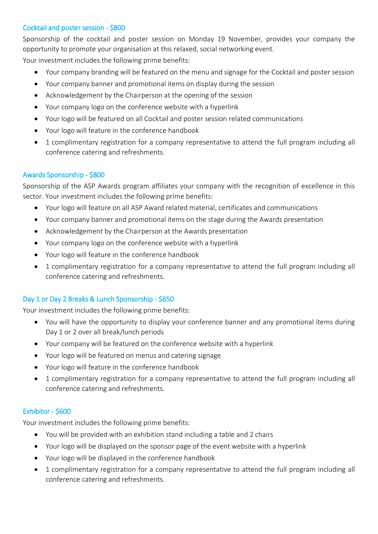## Cocktail and poster session - \$800

Sponsorship of the cocktail and poster session on Monday 19 November, provides your company the opportunity to promote your organisation at this relaxed, social networking event.

Your investment includes the following prime benefits:

- Your company branding will be featured on the menu and signage for the Cocktail and poster session
- Your company banner and promotional items on display during the session
- Acknowledgement by the Chairperson at the opening of the session
- Your company logo on the conference website with a hyperlink
- Your logo will be featured on all Cocktail and poster session related communications
- Your logo will feature in the conference handbook
- 1 complimentary registration for a company representative to attend the full program including all conference catering and refreshments.

## Awards Sponsorship - \$800

Sponsorship of the ASP Awards program affiliates your company with the recognition of excellence in this sector. Your investment includes the following prime benefits:

- Your logo will feature on all ASP Award related material, certificates and communications
- Your company banner and promotional items on the stage during the Awards presentation
- Acknowledgement by the Chairperson at the Awards presentation
- Your company logo on the conference website with a hyperlink
- Your logo will feature in the conference handbook
- 1 complimentary registration for a company representative to attend the full program including all conference catering and refreshments.

# Day 1 or Day 2 Breaks & Lunch Sponsorship - \$650

Your investment includes the following prime benefits:

- You will have the opportunity to display your conference banner and any promotional items during Day 1 or 2 over all break/lunch periods
- Your company will be featured on the conference website with a hyperlink
- Your logo will be featured on menus and catering signage
- Your logo will feature in the conference handbook
- 1 complimentary registration for a company representative to attend the full program including all conference catering and refreshments.

## Exhibitor - \$600

Your investment includes the following prime benefits:

- You will be provided with an exhibition stand including a table and 2 chairs
- Your logo will be displayed on the sponsor page of the event website with a hyperlink
- Your logo will be displayed in the conference handbook
- 1 complimentary registration for a company representative to attend the full program including all conference catering and refreshments.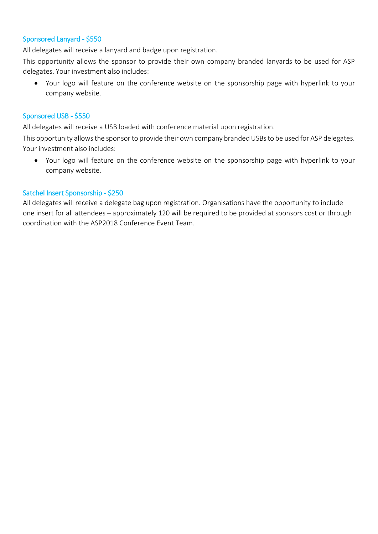### Sponsored Lanyard - \$550

All delegates will receive a lanyard and badge upon registration.

This opportunity allows the sponsor to provide their own company branded lanyards to be used for ASP delegates. Your investment also includes:

• Your logo will feature on the conference website on the sponsorship page with hyperlink to your company website.

#### Sponsored USB - \$550

All delegates will receive a USB loaded with conference material upon registration.

This opportunity allows the sponsor to provide their own company branded USBs to be used for ASP delegates. Your investment also includes:

• Your logo will feature on the conference website on the sponsorship page with hyperlink to your company website.

#### Satchel Insert Sponsorship - \$250

All delegates will receive a delegate bag upon registration. Organisations have the opportunity to include one insert for all attendees – approximately 120 will be required to be provided at sponsors cost or through coordination with the ASP2018 Conference Event Team.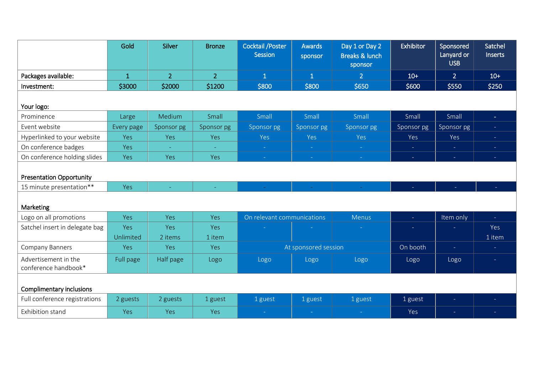|                                                             | Gold         | <b>Silver</b>  | <b>Bronze</b>  | <b>Cocktail / Poster</b><br><b>Session</b> | <b>Awards</b><br>sponsor | Day 1 or Day 2<br><b>Breaks &amp; lunch</b><br>sponsor | Exhibitor  | Sponsored<br>Lanyard or<br><b>USB</b> | Satchel<br>Inserts |
|-------------------------------------------------------------|--------------|----------------|----------------|--------------------------------------------|--------------------------|--------------------------------------------------------|------------|---------------------------------------|--------------------|
| Packages available:                                         | $\mathbf{1}$ | $\overline{2}$ | $\overline{2}$ | $\mathbf{1}$                               | $\overline{1}$           | $\overline{2}$                                         | $10+$      | 2 <sup>1</sup>                        | $10+$              |
| Investment:                                                 | \$3000       | \$2000         | \$1200         | \$800                                      | \$800                    | \$650                                                  | \$600      | \$550                                 | \$250              |
| Your logo:                                                  |              |                |                |                                            |                          |                                                        |            |                                       |                    |
| Prominence                                                  | Large        | Medium         | Small          | Small                                      | Small                    | Small                                                  | Small      | Small                                 | $\sim$             |
| Event website                                               | Every page   | Sponsor pg     | Sponsor pg     | Sponsor pg                                 | Sponsor pg               | Sponsor pg                                             | Sponsor pg | Sponsor pg                            | $\omega_{\rm c}$   |
| Hyperlinked to your website                                 | Yes          | Yes            | Yes            | Yes                                        | Yes                      | Yes                                                    | Yes        | Yes                                   | $\sim$ .           |
| On conference badges                                        | Yes          |                |                | Ξ                                          |                          |                                                        | ÷          | $\equiv$                              | $\sim$             |
| On conference holding slides                                | Yes          | Yes            | Yes            | $\sim$                                     | $\sim$                   | $\rightarrow$                                          | $\omega$   | $\equiv$                              | $\sim$             |
| <b>Presentation Opportunity</b><br>15 minute presentation** | Yes          |                |                |                                            |                          |                                                        |            |                                       |                    |
| Marketing                                                   |              |                |                |                                            |                          |                                                        |            |                                       |                    |
| Logo on all promotions                                      | Yes          | <b>Yes</b>     | Yes            | On relevant communications                 |                          | <b>Menus</b>                                           | ÷.         | Item only                             | $\omega_{\rm c}$   |
| Satchel insert in delegate bag                              | Yes          | Yes            | Yes            |                                            |                          |                                                        | $\equiv$   |                                       | Yes                |
|                                                             | Unlimited    | 2 items        | 1 item         |                                            |                          |                                                        |            |                                       | 1 item             |
| <b>Company Banners</b>                                      | Yes          | Yes            | Yes            | At sponsored session                       |                          | On booth                                               | $\omega$   | $\sim$                                |                    |
| Advertisement in the<br>conference handbook*                | Full page    | Half page      | Logo           | Logo                                       | Logo                     | Logo                                                   | Logo       | Logo                                  | $\sim$             |
| Complimentary inclusions                                    |              |                |                |                                            |                          |                                                        |            |                                       |                    |
| Full conference registrations                               | 2 guests     | 2 guests       | 1 guest        | 1 guest                                    | 1 guest                  | 1 guest                                                | 1 guest    | $\equiv$                              |                    |
| Exhibition stand                                            | Yes          | Yes            | Yes            |                                            |                          |                                                        | Yes        | $\equiv$                              |                    |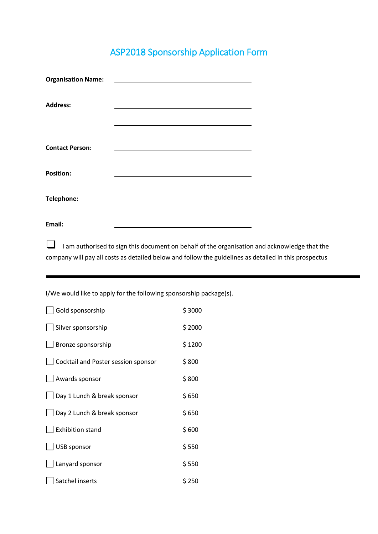# ASP2018 Sponsorship Application Form

| <b>Organisation Name:</b> |  |
|---------------------------|--|
| <b>Address:</b>           |  |
|                           |  |
| <b>Contact Person:</b>    |  |
| <b>Position:</b>          |  |
| Telephone:                |  |
| Email:                    |  |

■ I am authorised to sign this document on behalf of the organisation and acknowledge that the company will pay all costs as detailed below and follow the guidelines as detailed in this prospectus

I/We would like to apply for the following sponsorship package(s).

| Gold sponsorship                    | \$3000 |
|-------------------------------------|--------|
| Silver sponsorship                  | \$2000 |
| Bronze sponsorship                  | \$1200 |
| Cocktail and Poster session sponsor | \$800  |
| Awards sponsor                      | \$800  |
| Day 1 Lunch & break sponsor         | \$650  |
| Day 2 Lunch & break sponsor         | \$ 650 |
| <b>Exhibition stand</b>             | \$600  |
| <b>USB sponsor</b>                  | \$550  |
| Lanyard sponsor                     | \$550  |
| Satchel inserts                     | \$ 250 |